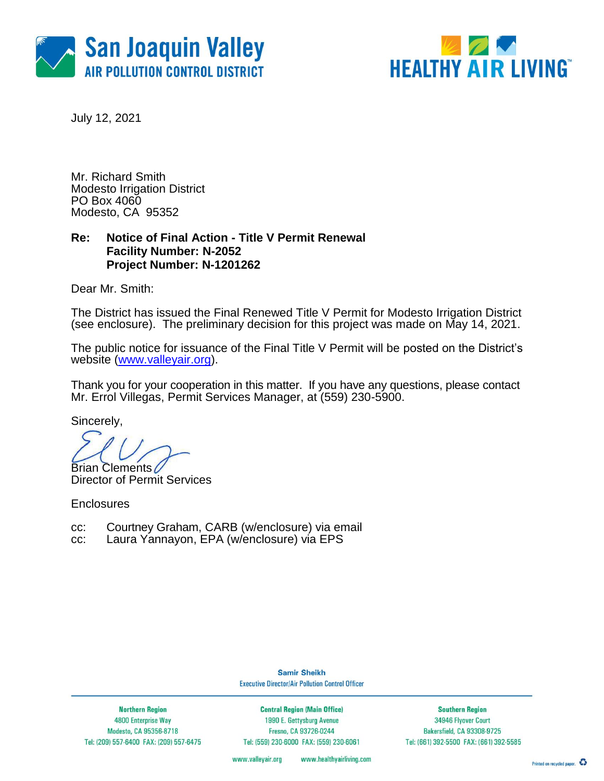



July 12, 2021

Mr. Richard Smith Modesto Irrigation District PO Box 4060 Modesto, CA 95352

### **Re: Notice of Final Action - Title V Permit Renewal Facility Number: N-2052 Project Number: N-1201262**

Dear Mr. Smith:

The District has issued the Final Renewed Title V Permit for Modesto Irrigation District (see enclosure). The preliminary decision for this project was made on May 14, 2021.

The public notice for issuance of the Final Title V Permit will be posted on the District's website [\(www.valleyair.org\)](http://www.valleyair.org/).

Thank you for your cooperation in this matter. If you have any questions, please contact Mr. Errol Villegas, Permit Services Manager, at (559) 230-5900.

Sincerely,

**Brian Clements** 

Director of Permit Services

**Enclosures** 

- cc: Courtney Graham, CARB (w/enclosure) via email
- cc: Laura Yannayon, EPA (w/enclosure) via EPS

**Samir Sheikh Executive Director/Air Pollution Control Officer** 

**Northern Region** 4800 Enterprise Way Modesto, CA 95356-8718 Tel: (209) 557-6400 FAX: (209) 557-6475

**Central Region (Main Office)** 1990 E. Gettysburg Avenue Fresno, CA 93726-0244 Tel: (559) 230-6000 FAX: (559) 230-6061

**Southern Region** 34946 Flyover Court Bakersfield, CA 93308-9725 Tel: (661) 392-5500 FAX: (661) 392-5585

www.valleyair.org www.healthyairliving.com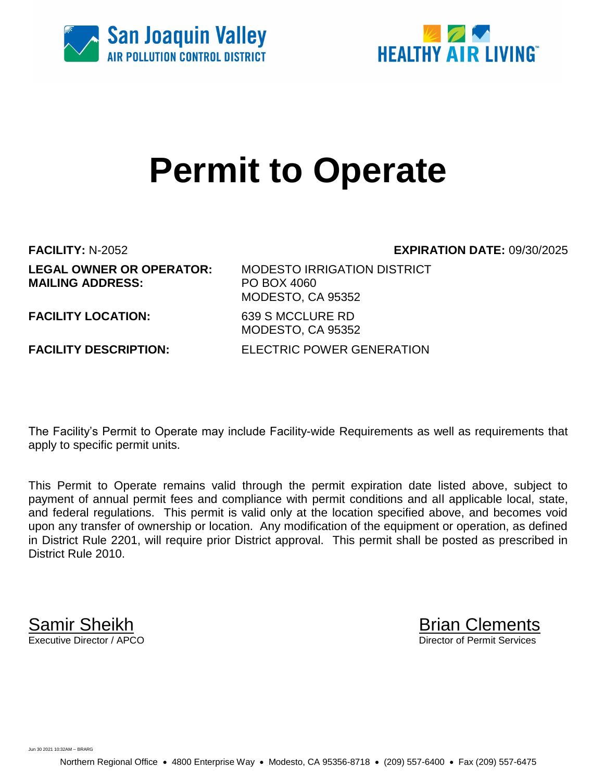



# **Permit to Operate**

**FACILITY:** N-2052 **EXPIRATION DATE:** 09/30/2025 **MAILING ADDRESS:** PO BOX 4060

**LEGAL OWNER OR OPERATOR:** MODESTO IRRIGATION DISTRICT MODESTO, CA 95352 **FACILITY LOCATION:** 639 S MCCLURE RD MODESTO, CA 95352 **FACILITY DESCRIPTION:** ELECTRIC POWER GENERATION

The Facility's Permit to Operate may include Facility-wide Requirements as well as requirements that apply to specific permit units.

This Permit to Operate remains valid through the permit expiration date listed above, subject to payment of annual permit fees and compliance with permit conditions and all applicable local, state, and federal regulations. This permit is valid only at the location specified above, and becomes void upon any transfer of ownership or location. Any modification of the equipment or operation, as defined in District Rule 2201, will require prior District approval. This permit shall be posted as prescribed in District Rule 2010.

**Samir Sheikh**<br>Executive Director / APCO

Director of Permit Services

Jun 30 2021 10:32AM -- BRARG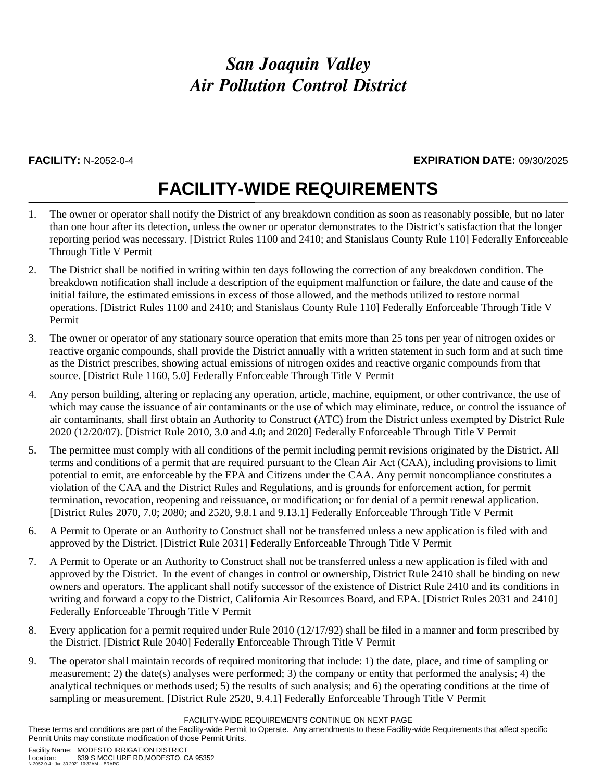### *San Joaquin Valley Air Pollution Control District*

#### **FACILITY:** N-2052-0-4 **EXPIRATION DATE:** 09/30/2025

## **FACILITY-WIDE REQUIREMENTS**

- 1. The owner or operator shall notify the District of any breakdown condition as soon as reasonably possible, but no later than one hour after its detection, unless the owner or operator demonstrates to the District's satisfaction that the longer reporting period was necessary. [District Rules 1100 and 2410; and Stanislaus County Rule 110] Federally Enforceable Through Title V Permit
- 2. The District shall be notified in writing within ten days following the correction of any breakdown condition. The breakdown notification shall include a description of the equipment malfunction or failure, the date and cause of the initial failure, the estimated emissions in excess of those allowed, and the methods utilized to restore normal operations. [District Rules 1100 and 2410; and Stanislaus County Rule 110] Federally Enforceable Through Title V Permit
- 3. The owner or operator of any stationary source operation that emits more than 25 tons per year of nitrogen oxides or reactive organic compounds, shall provide the District annually with a written statement in such form and at such time as the District prescribes, showing actual emissions of nitrogen oxides and reactive organic compounds from that source. [District Rule 1160, 5.0] Federally Enforceable Through Title V Permit
- 4. Any person building, altering or replacing any operation, article, machine, equipment, or other contrivance, the use of which may cause the issuance of air contaminants or the use of which may eliminate, reduce, or control the issuance of air contaminants, shall first obtain an Authority to Construct (ATC) from the District unless exempted by District Rule 2020 (12/20/07). [District Rule 2010, 3.0 and 4.0; and 2020] Federally Enforceable Through Title V Permit
- 5. The permittee must comply with all conditions of the permit including permit revisions originated by the District. All terms and conditions of a permit that are required pursuant to the Clean Air Act (CAA), including provisions to limit potential to emit, are enforceable by the EPA and Citizens under the CAA. Any permit noncompliance constitutes a violation of the CAA and the District Rules and Regulations, and is grounds for enforcement action, for permit termination, revocation, reopening and reissuance, or modification; or for denial of a permit renewal application. [District Rules 2070, 7.0; 2080; and 2520, 9.8.1 and 9.13.1] Federally Enforceable Through Title V Permit
- 6. A Permit to Operate or an Authority to Construct shall not be transferred unless a new application is filed with and approved by the District. [District Rule 2031] Federally Enforceable Through Title V Permit
- 7. A Permit to Operate or an Authority to Construct shall not be transferred unless a new application is filed with and approved by the District. In the event of changes in control or ownership, District Rule 2410 shall be binding on new owners and operators. The applicant shall notify successor of the existence of District Rule 2410 and its conditions in writing and forward a copy to the District, California Air Resources Board, and EPA. [District Rules 2031 and 2410] Federally Enforceable Through Title V Permit
- 8. Every application for a permit required under Rule 2010 (12/17/92) shall be filed in a manner and form prescribed by the District. [District Rule 2040] Federally Enforceable Through Title V Permit
- 9. The operator shall maintain records of required monitoring that include: 1) the date, place, and time of sampling or measurement; 2) the date(s) analyses were performed; 3) the company or entity that performed the analysis; 4) the analytical techniques or methods used; 5) the results of such analysis; and 6) the operating conditions at the time of sampling or measurement. [District Rule 2520, 9.4.1] Federally Enforceable Through Title V Permit

FACILITY-WIDE REQUIREMENTS CONTINUE ON NEXT PAGE

These terms and conditions are part of the Facility-wide Permit to Operate. Any amendments to these Facility-wide Requirements that affect specific Permit Units may constitute modification of those Permit Units.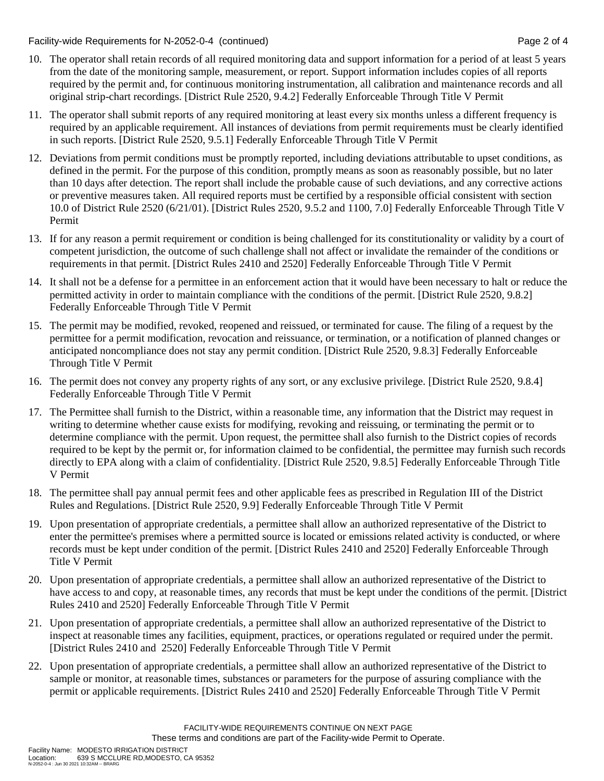Facility-wide Requirements for N-2052-0-4 (continued) Page 2 of 4

- 10. The operator shall retain records of all required monitoring data and support information for a period of at least 5 years from the date of the monitoring sample, measurement, or report. Support information includes copies of all reports required by the permit and, for continuous monitoring instrumentation, all calibration and maintenance records and all original strip-chart recordings. [District Rule 2520, 9.4.2] Federally Enforceable Through Title V Permit
- 11. The operator shall submit reports of any required monitoring at least every six months unless a different frequency is required by an applicable requirement. All instances of deviations from permit requirements must be clearly identified in such reports. [District Rule 2520, 9.5.1] Federally Enforceable Through Title V Permit
- 12. Deviations from permit conditions must be promptly reported, including deviations attributable to upset conditions, as defined in the permit. For the purpose of this condition, promptly means as soon as reasonably possible, but no later than 10 days after detection. The report shall include the probable cause of such deviations, and any corrective actions or preventive measures taken. All required reports must be certified by a responsible official consistent with section 10.0 of District Rule 2520 (6/21/01). [District Rules 2520, 9.5.2 and 1100, 7.0] Federally Enforceable Through Title V Permit
- 13. If for any reason a permit requirement or condition is being challenged for its constitutionality or validity by a court of competent jurisdiction, the outcome of such challenge shall not affect or invalidate the remainder of the conditions or requirements in that permit. [District Rules 2410 and 2520] Federally Enforceable Through Title V Permit
- 14. It shall not be a defense for a permittee in an enforcement action that it would have been necessary to halt or reduce the permitted activity in order to maintain compliance with the conditions of the permit. [District Rule 2520, 9.8.2] Federally Enforceable Through Title V Permit
- 15. The permit may be modified, revoked, reopened and reissued, or terminated for cause. The filing of a request by the permittee for a permit modification, revocation and reissuance, or termination, or a notification of planned changes or anticipated noncompliance does not stay any permit condition. [District Rule 2520, 9.8.3] Federally Enforceable Through Title V Permit
- 16. The permit does not convey any property rights of any sort, or any exclusive privilege. [District Rule 2520, 9.8.4] Federally Enforceable Through Title V Permit
- 17. The Permittee shall furnish to the District, within a reasonable time, any information that the District may request in writing to determine whether cause exists for modifying, revoking and reissuing, or terminating the permit or to determine compliance with the permit. Upon request, the permittee shall also furnish to the District copies of records required to be kept by the permit or, for information claimed to be confidential, the permittee may furnish such records directly to EPA along with a claim of confidentiality. [District Rule 2520, 9.8.5] Federally Enforceable Through Title V Permit
- 18. The permittee shall pay annual permit fees and other applicable fees as prescribed in Regulation III of the District Rules and Regulations. [District Rule 2520, 9.9] Federally Enforceable Through Title V Permit
- 19. Upon presentation of appropriate credentials, a permittee shall allow an authorized representative of the District to enter the permittee's premises where a permitted source is located or emissions related activity is conducted, or where records must be kept under condition of the permit. [District Rules 2410 and 2520] Federally Enforceable Through Title V Permit
- 20. Upon presentation of appropriate credentials, a permittee shall allow an authorized representative of the District to have access to and copy, at reasonable times, any records that must be kept under the conditions of the permit. [District Rules 2410 and 2520] Federally Enforceable Through Title V Permit
- 21. Upon presentation of appropriate credentials, a permittee shall allow an authorized representative of the District to inspect at reasonable times any facilities, equipment, practices, or operations regulated or required under the permit. [District Rules 2410 and 2520] Federally Enforceable Through Title V Permit
- 22. Upon presentation of appropriate credentials, a permittee shall allow an authorized representative of the District to sample or monitor, at reasonable times, substances or parameters for the purpose of assuring compliance with the permit or applicable requirements. [District Rules 2410 and 2520] Federally Enforceable Through Title V Permit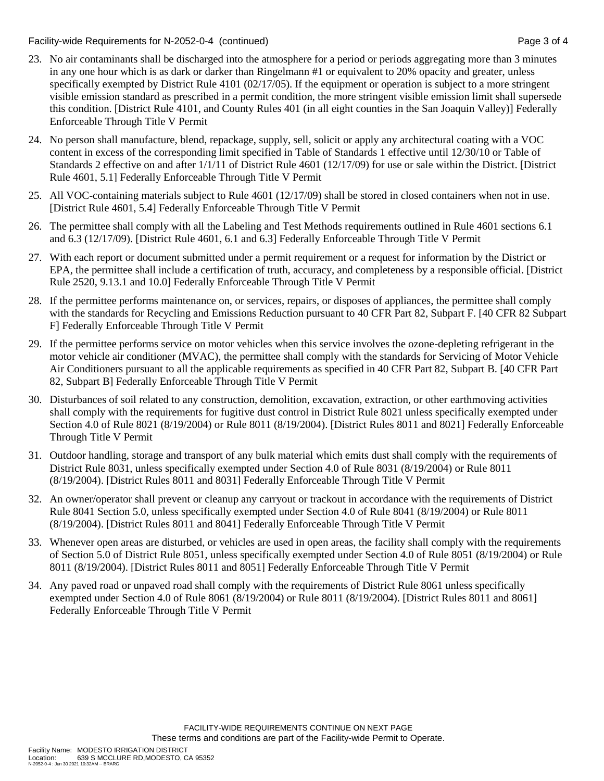Facility-wide Requirements for N-2052-0-4 (continued) Page 3 of 4

- 23. No air contaminants shall be discharged into the atmosphere for a period or periods aggregating more than 3 minutes in any one hour which is as dark or darker than Ringelmann #1 or equivalent to 20% opacity and greater, unless specifically exempted by District Rule 4101 (02/17/05). If the equipment or operation is subject to a more stringent visible emission standard as prescribed in a permit condition, the more stringent visible emission limit shall supersede this condition. [District Rule 4101, and County Rules 401 (in all eight counties in the San Joaquin Valley)] Federally Enforceable Through Title V Permit
- 24. No person shall manufacture, blend, repackage, supply, sell, solicit or apply any architectural coating with a VOC content in excess of the corresponding limit specified in Table of Standards 1 effective until 12/30/10 or Table of Standards 2 effective on and after 1/1/11 of District Rule 4601 (12/17/09) for use or sale within the District. [District Rule 4601, 5.1] Federally Enforceable Through Title V Permit
- 25. All VOC-containing materials subject to Rule 4601 (12/17/09) shall be stored in closed containers when not in use. [District Rule 4601, 5.4] Federally Enforceable Through Title V Permit
- 26. The permittee shall comply with all the Labeling and Test Methods requirements outlined in Rule 4601 sections 6.1 and 6.3 (12/17/09). [District Rule 4601, 6.1 and 6.3] Federally Enforceable Through Title V Permit
- 27. With each report or document submitted under a permit requirement or a request for information by the District or EPA, the permittee shall include a certification of truth, accuracy, and completeness by a responsible official. [District Rule 2520, 9.13.1 and 10.0] Federally Enforceable Through Title V Permit
- 28. If the permittee performs maintenance on, or services, repairs, or disposes of appliances, the permittee shall comply with the standards for Recycling and Emissions Reduction pursuant to 40 CFR Part 82, Subpart F. [40 CFR 82 Subpart F] Federally Enforceable Through Title V Permit
- 29. If the permittee performs service on motor vehicles when this service involves the ozone-depleting refrigerant in the motor vehicle air conditioner (MVAC), the permittee shall comply with the standards for Servicing of Motor Vehicle Air Conditioners pursuant to all the applicable requirements as specified in 40 CFR Part 82, Subpart B. [40 CFR Part 82, Subpart B] Federally Enforceable Through Title V Permit
- 30. Disturbances of soil related to any construction, demolition, excavation, extraction, or other earthmoving activities shall comply with the requirements for fugitive dust control in District Rule 8021 unless specifically exempted under Section 4.0 of Rule 8021 (8/19/2004) or Rule 8011 (8/19/2004). [District Rules 8011 and 8021] Federally Enforceable Through Title V Permit
- 31. Outdoor handling, storage and transport of any bulk material which emits dust shall comply with the requirements of District Rule 8031, unless specifically exempted under Section 4.0 of Rule 8031 (8/19/2004) or Rule 8011 (8/19/2004). [District Rules 8011 and 8031] Federally Enforceable Through Title V Permit
- 32. An owner/operator shall prevent or cleanup any carryout or trackout in accordance with the requirements of District Rule 8041 Section 5.0, unless specifically exempted under Section 4.0 of Rule 8041 (8/19/2004) or Rule 8011 (8/19/2004). [District Rules 8011 and 8041] Federally Enforceable Through Title V Permit
- 33. Whenever open areas are disturbed, or vehicles are used in open areas, the facility shall comply with the requirements of Section 5.0 of District Rule 8051, unless specifically exempted under Section 4.0 of Rule 8051 (8/19/2004) or Rule 8011 (8/19/2004). [District Rules 8011 and 8051] Federally Enforceable Through Title V Permit
- 34. Any paved road or unpaved road shall comply with the requirements of District Rule 8061 unless specifically exempted under Section 4.0 of Rule 8061 (8/19/2004) or Rule 8011 (8/19/2004). [District Rules 8011 and 8061] Federally Enforceable Through Title V Permit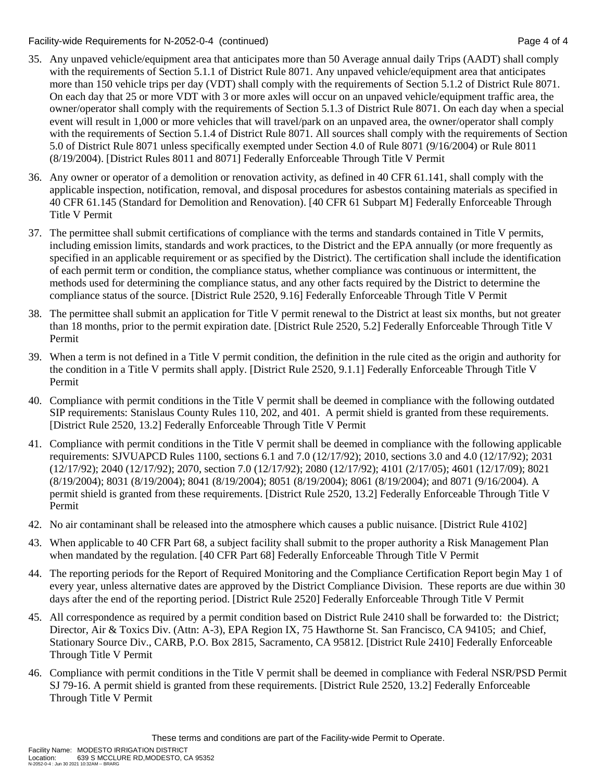Facility-wide Requirements for N-2052-0-4 (continued) Page 4 of 4

- 35. Any unpaved vehicle/equipment area that anticipates more than 50 Average annual daily Trips (AADT) shall comply with the requirements of Section 5.1.1 of District Rule 8071. Any unpaved vehicle/equipment area that anticipates more than 150 vehicle trips per day (VDT) shall comply with the requirements of Section 5.1.2 of District Rule 8071. On each day that 25 or more VDT with 3 or more axles will occur on an unpaved vehicle/equipment traffic area, the owner/operator shall comply with the requirements of Section 5.1.3 of District Rule 8071. On each day when a special event will result in 1,000 or more vehicles that will travel/park on an unpaved area, the owner/operator shall comply with the requirements of Section 5.1.4 of District Rule 8071. All sources shall comply with the requirements of Section 5.0 of District Rule 8071 unless specifically exempted under Section 4.0 of Rule 8071 (9/16/2004) or Rule 8011 (8/19/2004). [District Rules 8011 and 8071] Federally Enforceable Through Title V Permit
- 36. Any owner or operator of a demolition or renovation activity, as defined in 40 CFR 61.141, shall comply with the applicable inspection, notification, removal, and disposal procedures for asbestos containing materials as specified in 40 CFR 61.145 (Standard for Demolition and Renovation). [40 CFR 61 Subpart M] Federally Enforceable Through Title V Permit
- 37. The permittee shall submit certifications of compliance with the terms and standards contained in Title V permits, including emission limits, standards and work practices, to the District and the EPA annually (or more frequently as specified in an applicable requirement or as specified by the District). The certification shall include the identification of each permit term or condition, the compliance status, whether compliance was continuous or intermittent, the methods used for determining the compliance status, and any other facts required by the District to determine the compliance status of the source. [District Rule 2520, 9.16] Federally Enforceable Through Title V Permit
- 38. The permittee shall submit an application for Title V permit renewal to the District at least six months, but not greater than 18 months, prior to the permit expiration date. [District Rule 2520, 5.2] Federally Enforceable Through Title V Permit
- 39. When a term is not defined in a Title V permit condition, the definition in the rule cited as the origin and authority for the condition in a Title V permits shall apply. [District Rule 2520, 9.1.1] Federally Enforceable Through Title V Permit
- 40. Compliance with permit conditions in the Title V permit shall be deemed in compliance with the following outdated SIP requirements: Stanislaus County Rules 110, 202, and 401. A permit shield is granted from these requirements. [District Rule 2520, 13.2] Federally Enforceable Through Title V Permit
- 41. Compliance with permit conditions in the Title V permit shall be deemed in compliance with the following applicable requirements: SJVUAPCD Rules 1100, sections 6.1 and 7.0 (12/17/92); 2010, sections 3.0 and 4.0 (12/17/92); 2031 (12/17/92); 2040 (12/17/92); 2070, section 7.0 (12/17/92); 2080 (12/17/92); 4101 (2/17/05); 4601 (12/17/09); 8021 (8/19/2004); 8031 (8/19/2004); 8041 (8/19/2004); 8051 (8/19/2004); 8061 (8/19/2004); and 8071 (9/16/2004). A permit shield is granted from these requirements. [District Rule 2520, 13.2] Federally Enforceable Through Title V Permit
- 42. No air contaminant shall be released into the atmosphere which causes a public nuisance. [District Rule 4102]
- 43. When applicable to 40 CFR Part 68, a subject facility shall submit to the proper authority a Risk Management Plan when mandated by the regulation. [40 CFR Part 68] Federally Enforceable Through Title V Permit
- 44. The reporting periods for the Report of Required Monitoring and the Compliance Certification Report begin May 1 of every year, unless alternative dates are approved by the District Compliance Division. These reports are due within 30 days after the end of the reporting period. [District Rule 2520] Federally Enforceable Through Title V Permit
- 45. All correspondence as required by a permit condition based on District Rule 2410 shall be forwarded to: the District; Director, Air & Toxics Div. (Attn: A-3), EPA Region IX, 75 Hawthorne St. San Francisco, CA 94105; and Chief, Stationary Source Div., CARB, P.O. Box 2815, Sacramento, CA 95812. [District Rule 2410] Federally Enforceable Through Title V Permit
- 46. Compliance with permit conditions in the Title V permit shall be deemed in compliance with Federal NSR/PSD Permit SJ 79-16. A permit shield is granted from these requirements. [District Rule 2520, 13.2] Federally Enforceable Through Title V Permit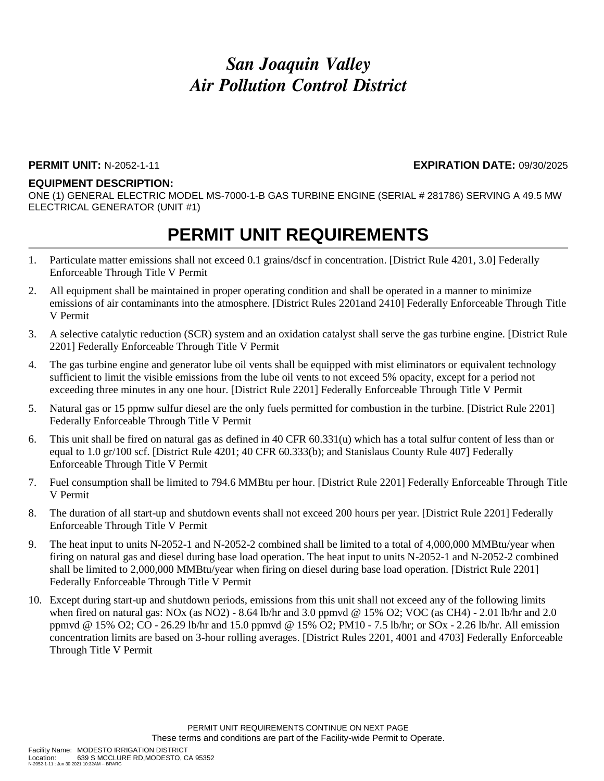### *San Joaquin Valley Air Pollution Control District*

#### **PERMIT UNIT:** N-2052-1-11 **EXPIRATION DATE:** 09/30/2025

#### **EQUIPMENT DESCRIPTION:**

ONE (1) GENERAL ELECTRIC MODEL MS-7000-1-B GAS TURBINE ENGINE (SERIAL # 281786) SERVING A 49.5 MW ELECTRICAL GENERATOR (UNIT #1)

### **PERMIT UNIT REQUIREMENTS**

- 1. Particulate matter emissions shall not exceed 0.1 grains/dscf in concentration. [District Rule 4201, 3.0] Federally Enforceable Through Title V Permit
- 2. All equipment shall be maintained in proper operating condition and shall be operated in a manner to minimize emissions of air contaminants into the atmosphere. [District Rules 2201and 2410] Federally Enforceable Through Title V Permit
- 3. A selective catalytic reduction (SCR) system and an oxidation catalyst shall serve the gas turbine engine. [District Rule 2201] Federally Enforceable Through Title V Permit
- 4. The gas turbine engine and generator lube oil vents shall be equipped with mist eliminators or equivalent technology sufficient to limit the visible emissions from the lube oil vents to not exceed 5% opacity, except for a period not exceeding three minutes in any one hour. [District Rule 2201] Federally Enforceable Through Title V Permit
- 5. Natural gas or 15 ppmw sulfur diesel are the only fuels permitted for combustion in the turbine. [District Rule 2201] Federally Enforceable Through Title V Permit
- 6. This unit shall be fired on natural gas as defined in 40 CFR 60.331(u) which has a total sulfur content of less than or equal to 1.0 gr/100 scf. [District Rule 4201; 40 CFR 60.333(b); and Stanislaus County Rule 407] Federally Enforceable Through Title V Permit
- 7. Fuel consumption shall be limited to 794.6 MMBtu per hour. [District Rule 2201] Federally Enforceable Through Title V Permit
- 8. The duration of all start-up and shutdown events shall not exceed 200 hours per year. [District Rule 2201] Federally Enforceable Through Title V Permit
- 9. The heat input to units N-2052-1 and N-2052-2 combined shall be limited to a total of 4,000,000 MMBtu/year when firing on natural gas and diesel during base load operation. The heat input to units N-2052-1 and N-2052-2 combined shall be limited to 2,000,000 MMBtu/year when firing on diesel during base load operation. [District Rule 2201] Federally Enforceable Through Title V Permit
- 10. Except during start-up and shutdown periods, emissions from this unit shall not exceed any of the following limits when fired on natural gas: NOx (as NO2) - 8.64 lb/hr and 3.0 ppmvd @ 15% O2; VOC (as CH4) - 2.01 lb/hr and 2.0 ppmvd @ 15% O2; CO - 26.29 lb/hr and 15.0 ppmvd @ 15% O2; PM10 - 7.5 lb/hr; or SOx - 2.26 lb/hr. All emission concentration limits are based on 3-hour rolling averages. [District Rules 2201, 4001 and 4703] Federally Enforceable Through Title V Permit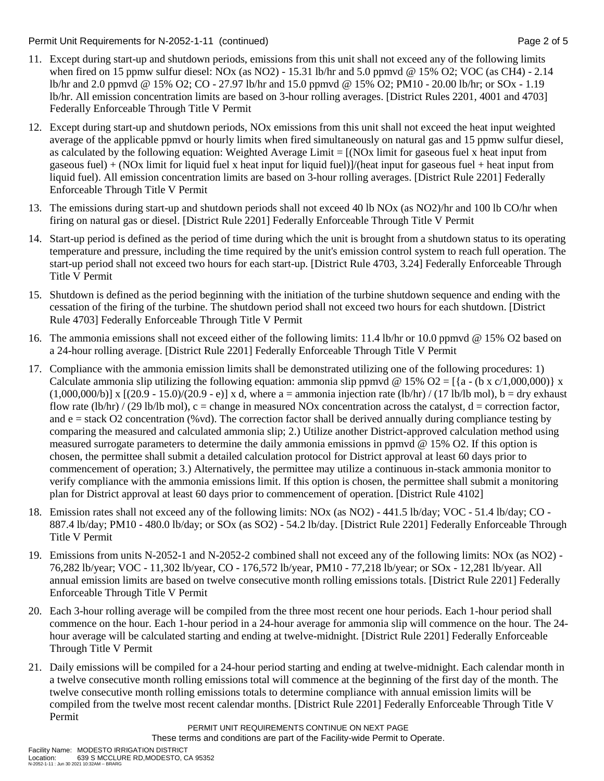Permit Unit Requirements for N-2052-1-11 (continued) example 2 of 5

- 11. Except during start-up and shutdown periods, emissions from this unit shall not exceed any of the following limits when fired on 15 ppmw sulfur diesel: NOx (as NO2) - 15.31 lb/hr and 5.0 ppmvd @ 15% O2; VOC (as CH4) - 2.14 lb/hr and 2.0 ppmvd @ 15% O2; CO - 27.97 lb/hr and 15.0 ppmvd @ 15% O2; PM10 - 20.00 lb/hr; or SOx - 1.19 lb/hr. All emission concentration limits are based on 3-hour rolling averages. [District Rules 2201, 4001 and 4703] Federally Enforceable Through Title V Permit
- 12. Except during start-up and shutdown periods, NOx emissions from this unit shall not exceed the heat input weighted average of the applicable ppmvd or hourly limits when fired simultaneously on natural gas and 15 ppmw sulfur diesel, as calculated by the following equation: Weighted Average Limit  $= [(NOx]$  limit for gaseous fuel x heat input from gaseous fuel) + (NOx limit for liquid fuel x heat input for liquid fuel)]/(heat input for gaseous fuel + heat input from liquid fuel). All emission concentration limits are based on 3-hour rolling averages. [District Rule 2201] Federally Enforceable Through Title V Permit
- 13. The emissions during start-up and shutdown periods shall not exceed 40 lb NOx (as NO2)/hr and 100 lb CO/hr when firing on natural gas or diesel. [District Rule 2201] Federally Enforceable Through Title V Permit
- 14. Start-up period is defined as the period of time during which the unit is brought from a shutdown status to its operating temperature and pressure, including the time required by the unit's emission control system to reach full operation. The start-up period shall not exceed two hours for each start-up. [District Rule 4703, 3.24] Federally Enforceable Through Title V Permit
- 15. Shutdown is defined as the period beginning with the initiation of the turbine shutdown sequence and ending with the cessation of the firing of the turbine. The shutdown period shall not exceed two hours for each shutdown. [District Rule 4703] Federally Enforceable Through Title V Permit
- 16. The ammonia emissions shall not exceed either of the following limits: 11.4 lb/hr or 10.0 ppmvd @ 15% O2 based on a 24-hour rolling average. [District Rule 2201] Federally Enforceable Through Title V Permit
- 17. Compliance with the ammonia emission limits shall be demonstrated utilizing one of the following procedures: 1) Calculate ammonia slip utilizing the following equation: ammonia slip ppmvd @ 15% O2 = [{a - (b x c/1,000,000)} x  $(1,000,000/b)$ ] x  $[(20.9 - 15.0)/(20.9 - e)]$  x d, where a = ammonia injection rate (lb/hr) / (17 lb/lb mol), b = dry exhaust flow rate (lb/hr) / (29 lb/lb mol), c = change in measured NOx concentration across the catalyst,  $d =$  correction factor, and  $e =$  stack O2 concentration (%vd). The correction factor shall be derived annually during compliance testing by comparing the measured and calculated ammonia slip; 2.) Utilize another District-approved calculation method using measured surrogate parameters to determine the daily ammonia emissions in ppmvd @ 15% O2. If this option is chosen, the permittee shall submit a detailed calculation protocol for District approval at least 60 days prior to commencement of operation; 3.) Alternatively, the permittee may utilize a continuous in-stack ammonia monitor to verify compliance with the ammonia emissions limit. If this option is chosen, the permittee shall submit a monitoring plan for District approval at least 60 days prior to commencement of operation. [District Rule 4102]
- 18. Emission rates shall not exceed any of the following limits: NOx (as NO2) 441.5 lb/day; VOC 51.4 lb/day; CO 887.4 lb/day; PM10 - 480.0 lb/day; or SOx (as SO2) - 54.2 lb/day. [District Rule 2201] Federally Enforceable Through Title V Permit
- 19. Emissions from units N-2052-1 and N-2052-2 combined shall not exceed any of the following limits: NOx (as NO2) 76,282 lb/year; VOC - 11,302 lb/year, CO - 176,572 lb/year, PM10 - 77,218 lb/year; or SOx - 12,281 lb/year. All annual emission limits are based on twelve consecutive month rolling emissions totals. [District Rule 2201] Federally Enforceable Through Title V Permit
- 20. Each 3-hour rolling average will be compiled from the three most recent one hour periods. Each 1-hour period shall commence on the hour. Each 1-hour period in a 24-hour average for ammonia slip will commence on the hour. The 24 hour average will be calculated starting and ending at twelve-midnight. [District Rule 2201] Federally Enforceable Through Title V Permit
- 21. Daily emissions will be compiled for a 24-hour period starting and ending at twelve-midnight. Each calendar month in a twelve consecutive month rolling emissions total will commence at the beginning of the first day of the month. The twelve consecutive month rolling emissions totals to determine compliance with annual emission limits will be compiled from the twelve most recent calendar months. [District Rule 2201] Federally Enforceable Through Title V Permit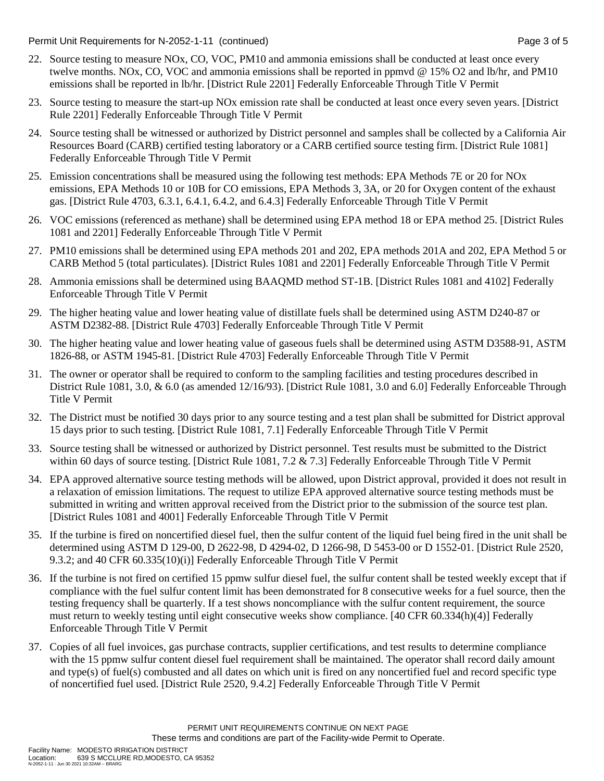Permit Unit Requirements for N-2052-1-11 (continued) example 3 of 5

- 22. Source testing to measure NOx, CO, VOC, PM10 and ammonia emissions shall be conducted at least once every twelve months. NOx, CO, VOC and ammonia emissions shall be reported in ppmvd @ 15% O2 and lb/hr, and PM10 emissions shall be reported in lb/hr. [District Rule 2201] Federally Enforceable Through Title V Permit
- 23. Source testing to measure the start-up NOx emission rate shall be conducted at least once every seven years. [District Rule 2201] Federally Enforceable Through Title V Permit
- 24. Source testing shall be witnessed or authorized by District personnel and samples shall be collected by a California Air Resources Board (CARB) certified testing laboratory or a CARB certified source testing firm. [District Rule 1081] Federally Enforceable Through Title V Permit
- 25. Emission concentrations shall be measured using the following test methods: EPA Methods 7E or 20 for NOx emissions, EPA Methods 10 or 10B for CO emissions, EPA Methods 3, 3A, or 20 for Oxygen content of the exhaust gas. [District Rule 4703, 6.3.1, 6.4.1, 6.4.2, and 6.4.3] Federally Enforceable Through Title V Permit
- 26. VOC emissions (referenced as methane) shall be determined using EPA method 18 or EPA method 25. [District Rules 1081 and 2201] Federally Enforceable Through Title V Permit
- 27. PM10 emissions shall be determined using EPA methods 201 and 202, EPA methods 201A and 202, EPA Method 5 or CARB Method 5 (total particulates). [District Rules 1081 and 2201] Federally Enforceable Through Title V Permit
- 28. Ammonia emissions shall be determined using BAAQMD method ST-1B. [District Rules 1081 and 4102] Federally Enforceable Through Title V Permit
- 29. The higher heating value and lower heating value of distillate fuels shall be determined using ASTM D240-87 or ASTM D2382-88. [District Rule 4703] Federally Enforceable Through Title V Permit
- 30. The higher heating value and lower heating value of gaseous fuels shall be determined using ASTM D3588-91, ASTM 1826-88, or ASTM 1945-81. [District Rule 4703] Federally Enforceable Through Title V Permit
- 31. The owner or operator shall be required to conform to the sampling facilities and testing procedures described in District Rule 1081, 3.0, & 6.0 (as amended 12/16/93). [District Rule 1081, 3.0 and 6.0] Federally Enforceable Through Title V Permit
- 32. The District must be notified 30 days prior to any source testing and a test plan shall be submitted for District approval 15 days prior to such testing. [District Rule 1081, 7.1] Federally Enforceable Through Title V Permit
- 33. Source testing shall be witnessed or authorized by District personnel. Test results must be submitted to the District within 60 days of source testing. [District Rule 1081, 7.2 & 7.3] Federally Enforceable Through Title V Permit
- 34. EPA approved alternative source testing methods will be allowed, upon District approval, provided it does not result in a relaxation of emission limitations. The request to utilize EPA approved alternative source testing methods must be submitted in writing and written approval received from the District prior to the submission of the source test plan. [District Rules 1081 and 4001] Federally Enforceable Through Title V Permit
- 35. If the turbine is fired on noncertified diesel fuel, then the sulfur content of the liquid fuel being fired in the unit shall be determined using ASTM D 129-00, D 2622-98, D 4294-02, D 1266-98, D 5453-00 or D 1552-01. [District Rule 2520, 9.3.2; and 40 CFR 60.335(10)(i)] Federally Enforceable Through Title V Permit
- 36. If the turbine is not fired on certified 15 ppmw sulfur diesel fuel, the sulfur content shall be tested weekly except that if compliance with the fuel sulfur content limit has been demonstrated for 8 consecutive weeks for a fuel source, then the testing frequency shall be quarterly. If a test shows noncompliance with the sulfur content requirement, the source must return to weekly testing until eight consecutive weeks show compliance. [40 CFR 60.334(h)(4)] Federally Enforceable Through Title V Permit
- 37. Copies of all fuel invoices, gas purchase contracts, supplier certifications, and test results to determine compliance with the 15 ppmw sulfur content diesel fuel requirement shall be maintained. The operator shall record daily amount and type(s) of fuel(s) combusted and all dates on which unit is fired on any noncertified fuel and record specific type of noncertified fuel used. [District Rule 2520, 9.4.2] Federally Enforceable Through Title V Permit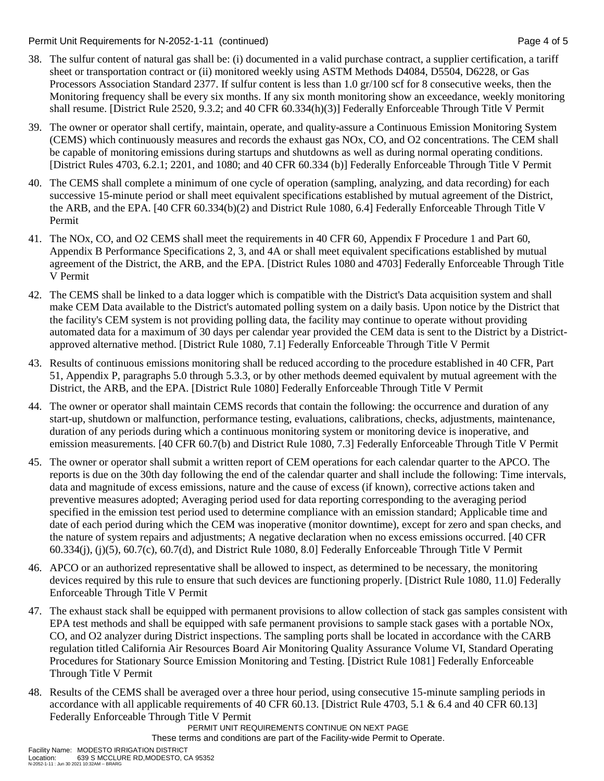Permit Unit Requirements for N-2052-1-11 (continued) example 2 and the state of 5 and 5 and 7 and 7 and 7 and 7 and 7 and 7 and 7 and 7 and 7 and 7 and 7 and 7 and 7 and 7 and 7 and 7 and 7 and 7 and 7 and 7 and 7 and 7 an

- 38. The sulfur content of natural gas shall be: (i) documented in a valid purchase contract, a supplier certification, a tariff sheet or transportation contract or (ii) monitored weekly using ASTM Methods D4084, D5504, D6228, or Gas Processors Association Standard 2377. If sulfur content is less than 1.0 gr/100 scf for 8 consecutive weeks, then the Monitoring frequency shall be every six months. If any six month monitoring show an exceedance, weekly monitoring shall resume. [District Rule 2520, 9.3.2; and 40 CFR 60.334(h)(3)] Federally Enforceable Through Title V Permit
- 39. The owner or operator shall certify, maintain, operate, and quality-assure a Continuous Emission Monitoring System (CEMS) which continuously measures and records the exhaust gas NOx, CO, and O2 concentrations. The CEM shall be capable of monitoring emissions during startups and shutdowns as well as during normal operating conditions. [District Rules 4703, 6.2.1; 2201, and 1080; and 40 CFR 60.334 (b)] Federally Enforceable Through Title V Permit
- 40. The CEMS shall complete a minimum of one cycle of operation (sampling, analyzing, and data recording) for each successive 15-minute period or shall meet equivalent specifications established by mutual agreement of the District, the ARB, and the EPA. [40 CFR 60.334(b)(2) and District Rule 1080, 6.4] Federally Enforceable Through Title V Permit
- 41. The NOx, CO, and O2 CEMS shall meet the requirements in 40 CFR 60, Appendix F Procedure 1 and Part 60, Appendix B Performance Specifications 2, 3, and 4A or shall meet equivalent specifications established by mutual agreement of the District, the ARB, and the EPA. [District Rules 1080 and 4703] Federally Enforceable Through Title V Permit
- 42. The CEMS shall be linked to a data logger which is compatible with the District's Data acquisition system and shall make CEM Data available to the District's automated polling system on a daily basis. Upon notice by the District that the facility's CEM system is not providing polling data, the facility may continue to operate without providing automated data for a maximum of 30 days per calendar year provided the CEM data is sent to the District by a Districtapproved alternative method. [District Rule 1080, 7.1] Federally Enforceable Through Title V Permit
- 43. Results of continuous emissions monitoring shall be reduced according to the procedure established in 40 CFR, Part 51, Appendix P, paragraphs 5.0 through 5.3.3, or by other methods deemed equivalent by mutual agreement with the District, the ARB, and the EPA. [District Rule 1080] Federally Enforceable Through Title V Permit
- 44. The owner or operator shall maintain CEMS records that contain the following: the occurrence and duration of any start-up, shutdown or malfunction, performance testing, evaluations, calibrations, checks, adjustments, maintenance, duration of any periods during which a continuous monitoring system or monitoring device is inoperative, and emission measurements. [40 CFR 60.7(b) and District Rule 1080, 7.3] Federally Enforceable Through Title V Permit
- 45. The owner or operator shall submit a written report of CEM operations for each calendar quarter to the APCO. The reports is due on the 30th day following the end of the calendar quarter and shall include the following: Time intervals, data and magnitude of excess emissions, nature and the cause of excess (if known), corrective actions taken and preventive measures adopted; Averaging period used for data reporting corresponding to the averaging period specified in the emission test period used to determine compliance with an emission standard; Applicable time and date of each period during which the CEM was inoperative (monitor downtime), except for zero and span checks, and the nature of system repairs and adjustments; A negative declaration when no excess emissions occurred. [40 CFR 60.334(j), (j)(5), 60.7(c), 60.7(d), and District Rule 1080, 8.0] Federally Enforceable Through Title V Permit
- 46. APCO or an authorized representative shall be allowed to inspect, as determined to be necessary, the monitoring devices required by this rule to ensure that such devices are functioning properly. [District Rule 1080, 11.0] Federally Enforceable Through Title V Permit
- 47. The exhaust stack shall be equipped with permanent provisions to allow collection of stack gas samples consistent with EPA test methods and shall be equipped with safe permanent provisions to sample stack gases with a portable NOx, CO, and O2 analyzer during District inspections. The sampling ports shall be located in accordance with the CARB regulation titled California Air Resources Board Air Monitoring Quality Assurance Volume VI, Standard Operating Procedures for Stationary Source Emission Monitoring and Testing. [District Rule 1081] Federally Enforceable Through Title V Permit
- 48. Results of the CEMS shall be averaged over a three hour period, using consecutive 15-minute sampling periods in accordance with all applicable requirements of 40 CFR 60.13. [District Rule 4703, 5.1 & 6.4 and 40 CFR 60.13] Federally Enforceable Through Title V Permit

PERMIT UNIT REQUIREMENTS CONTINUE ON NEXT PAGE

These terms and conditions are part of the Facility-wide Permit to Operate.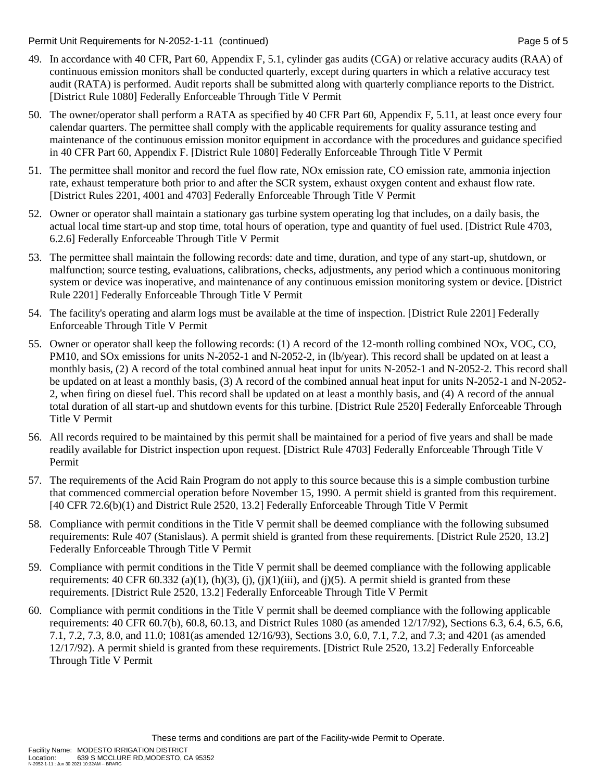Permit Unit Requirements for N-2052-1-11 (continued) example 2 and the state of the Page 5 of 5

- 49. In accordance with 40 CFR, Part 60, Appendix F, 5.1, cylinder gas audits (CGA) or relative accuracy audits (RAA) of continuous emission monitors shall be conducted quarterly, except during quarters in which a relative accuracy test audit (RATA) is performed. Audit reports shall be submitted along with quarterly compliance reports to the District. [District Rule 1080] Federally Enforceable Through Title V Permit
- 50. The owner/operator shall perform a RATA as specified by 40 CFR Part 60, Appendix F, 5.11, at least once every four calendar quarters. The permittee shall comply with the applicable requirements for quality assurance testing and maintenance of the continuous emission monitor equipment in accordance with the procedures and guidance specified in 40 CFR Part 60, Appendix F. [District Rule 1080] Federally Enforceable Through Title V Permit
- 51. The permittee shall monitor and record the fuel flow rate, NOx emission rate, CO emission rate, ammonia injection rate, exhaust temperature both prior to and after the SCR system, exhaust oxygen content and exhaust flow rate. [District Rules 2201, 4001 and 4703] Federally Enforceable Through Title V Permit
- 52. Owner or operator shall maintain a stationary gas turbine system operating log that includes, on a daily basis, the actual local time start-up and stop time, total hours of operation, type and quantity of fuel used. [District Rule 4703, 6.2.6] Federally Enforceable Through Title V Permit
- 53. The permittee shall maintain the following records: date and time, duration, and type of any start-up, shutdown, or malfunction; source testing, evaluations, calibrations, checks, adjustments, any period which a continuous monitoring system or device was inoperative, and maintenance of any continuous emission monitoring system or device. [District Rule 2201] Federally Enforceable Through Title V Permit
- 54. The facility's operating and alarm logs must be available at the time of inspection. [District Rule 2201] Federally Enforceable Through Title V Permit
- 55. Owner or operator shall keep the following records: (1) A record of the 12-month rolling combined NOx, VOC, CO, PM10, and SOx emissions for units N-2052-1 and N-2052-2, in (lb/year). This record shall be updated on at least a monthly basis, (2) A record of the total combined annual heat input for units N-2052-1 and N-2052-2. This record shall be updated on at least a monthly basis, (3) A record of the combined annual heat input for units N-2052-1 and N-2052- 2, when firing on diesel fuel. This record shall be updated on at least a monthly basis, and (4) A record of the annual total duration of all start-up and shutdown events for this turbine. [District Rule 2520] Federally Enforceable Through Title V Permit
- 56. All records required to be maintained by this permit shall be maintained for a period of five years and shall be made readily available for District inspection upon request. [District Rule 4703] Federally Enforceable Through Title V Permit
- 57. The requirements of the Acid Rain Program do not apply to this source because this is a simple combustion turbine that commenced commercial operation before November 15, 1990. A permit shield is granted from this requirement. [40 CFR 72.6(b)(1) and District Rule 2520, 13.2] Federally Enforceable Through Title V Permit
- 58. Compliance with permit conditions in the Title V permit shall be deemed compliance with the following subsumed requirements: Rule 407 (Stanislaus). A permit shield is granted from these requirements. [District Rule 2520, 13.2] Federally Enforceable Through Title V Permit
- 59. Compliance with permit conditions in the Title V permit shall be deemed compliance with the following applicable requirements:  $40 \text{ CFR } 60.332 \text{ (a)(1), (h)(3), (i), (j)(1)(iii), and (j)(5). A permit shield is granted from these$ requirements. [District Rule 2520, 13.2] Federally Enforceable Through Title V Permit
- 60. Compliance with permit conditions in the Title V permit shall be deemed compliance with the following applicable requirements: 40 CFR 60.7(b), 60.8, 60.13, and District Rules 1080 (as amended 12/17/92), Sections 6.3, 6.4, 6.5, 6.6, 7.1, 7.2, 7.3, 8.0, and 11.0; 1081(as amended 12/16/93), Sections 3.0, 6.0, 7.1, 7.2, and 7.3; and 4201 (as amended 12/17/92). A permit shield is granted from these requirements. [District Rule 2520, 13.2] Federally Enforceable Through Title V Permit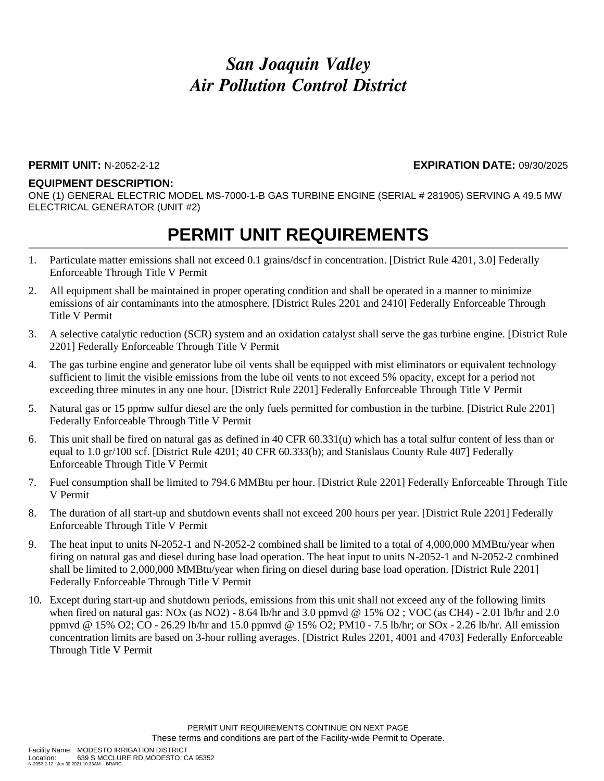### *San Joaquin Valley Air Pollution Control District*

#### **PERMIT UNIT:** N-2052-2-12 **EXPIRATION DATE:** 09/30/2025

#### **EQUIPMENT DESCRIPTION:**

ONE (1) GENERAL ELECTRIC MODEL MS-7000-1-B GAS TURBINE ENGINE (SERIAL # 281905) SERVING A 49.5 MW ELECTRICAL GENERATOR (UNIT #2)

### **PERMIT UNIT REQUIREMENTS**

- 1. Particulate matter emissions shall not exceed 0.1 grains/dscf in concentration. [District Rule 4201, 3.0] Federally Enforceable Through Title V Permit
- 2. All equipment shall be maintained in proper operating condition and shall be operated in a manner to minimize emissions of air contaminants into the atmosphere. [District Rules 2201 and 2410] Federally Enforceable Through Title V Permit
- 3. A selective catalytic reduction (SCR) system and an oxidation catalyst shall serve the gas turbine engine. [District Rule 2201] Federally Enforceable Through Title V Permit
- 4. The gas turbine engine and generator lube oil vents shall be equipped with mist eliminators or equivalent technology sufficient to limit the visible emissions from the lube oil vents to not exceed 5% opacity, except for a period not exceeding three minutes in any one hour. [District Rule 2201] Federally Enforceable Through Title V Permit
- 5. Natural gas or 15 ppmw sulfur diesel are the only fuels permitted for combustion in the turbine. [District Rule 2201] Federally Enforceable Through Title V Permit
- 6. This unit shall be fired on natural gas as defined in 40 CFR 60.331(u) which has a total sulfur content of less than or equal to 1.0 gr/100 scf. [District Rule 4201; 40 CFR 60.333(b); and Stanislaus County Rule 407] Federally Enforceable Through Title V Permit
- 7. Fuel consumption shall be limited to 794.6 MMBtu per hour. [District Rule 2201] Federally Enforceable Through Title V Permit
- 8. The duration of all start-up and shutdown events shall not exceed 200 hours per year. [District Rule 2201] Federally Enforceable Through Title V Permit
- 9. The heat input to units N-2052-1 and N-2052-2 combined shall be limited to a total of 4,000,000 MMBtu/year when firing on natural gas and diesel during base load operation. The heat input to units N-2052-1 and N-2052-2 combined shall be limited to 2,000,000 MMBtu/year when firing on diesel during base load operation. [District Rule 2201] Federally Enforceable Through Title V Permit
- 10. Except during start-up and shutdown periods, emissions from this unit shall not exceed any of the following limits when fired on natural gas: NOx (as NO2) - 8.64 lb/hr and 3.0 ppmvd @ 15% O2 ; VOC (as CH4) - 2.01 lb/hr and 2.0 ppmvd @ 15% O2; CO - 26.29 lb/hr and 15.0 ppmvd @ 15% O2; PM10 - 7.5 lb/hr; or SOx - 2.26 lb/hr. All emission concentration limits are based on 3-hour rolling averages. [District Rules 2201, 4001 and 4703] Federally Enforceable Through Title V Permit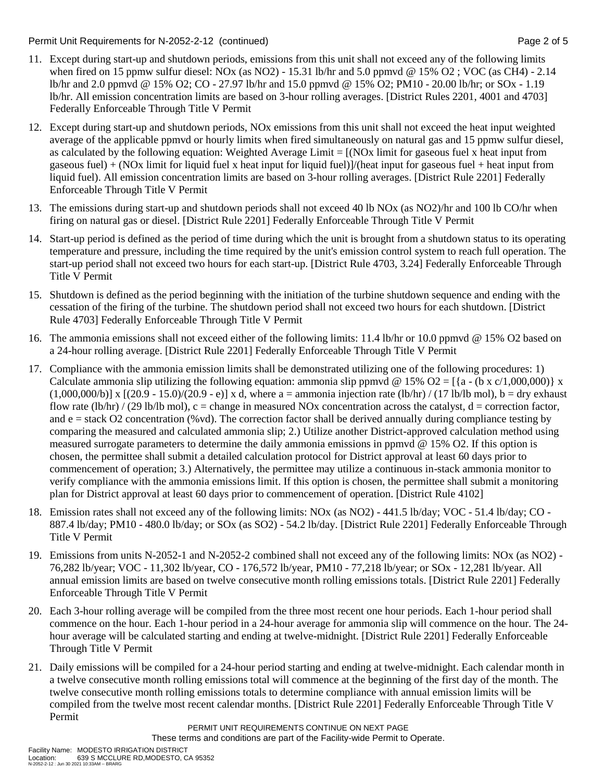Permit Unit Requirements for N-2052-2-12 (continued) example 2 of 5

- 11. Except during start-up and shutdown periods, emissions from this unit shall not exceed any of the following limits when fired on 15 ppmw sulfur diesel: NOx (as NO2) - 15.31 lb/hr and 5.0 ppmvd @ 15% O2 ; VOC (as CH4) - 2.14 lb/hr and 2.0 ppmvd @ 15% O2; CO - 27.97 lb/hr and 15.0 ppmvd @ 15% O2; PM10 - 20.00 lb/hr; or SOx - 1.19 lb/hr. All emission concentration limits are based on 3-hour rolling averages. [District Rules 2201, 4001 and 4703] Federally Enforceable Through Title V Permit
- 12. Except during start-up and shutdown periods, NOx emissions from this unit shall not exceed the heat input weighted average of the applicable ppmvd or hourly limits when fired simultaneously on natural gas and 15 ppmw sulfur diesel, as calculated by the following equation: Weighted Average Limit  $= [(NOx]$  limit for gaseous fuel x heat input from gaseous fuel) + (NOx limit for liquid fuel x heat input for liquid fuel)]/(heat input for gaseous fuel + heat input from liquid fuel). All emission concentration limits are based on 3-hour rolling averages. [District Rule 2201] Federally Enforceable Through Title V Permit
- 13. The emissions during start-up and shutdown periods shall not exceed 40 lb NOx (as NO2)/hr and 100 lb CO/hr when firing on natural gas or diesel. [District Rule 2201] Federally Enforceable Through Title V Permit
- 14. Start-up period is defined as the period of time during which the unit is brought from a shutdown status to its operating temperature and pressure, including the time required by the unit's emission control system to reach full operation. The start-up period shall not exceed two hours for each start-up. [District Rule 4703, 3.24] Federally Enforceable Through Title V Permit
- 15. Shutdown is defined as the period beginning with the initiation of the turbine shutdown sequence and ending with the cessation of the firing of the turbine. The shutdown period shall not exceed two hours for each shutdown. [District Rule 4703] Federally Enforceable Through Title V Permit
- 16. The ammonia emissions shall not exceed either of the following limits: 11.4 lb/hr or 10.0 ppmvd @ 15% O2 based on a 24-hour rolling average. [District Rule 2201] Federally Enforceable Through Title V Permit
- 17. Compliance with the ammonia emission limits shall be demonstrated utilizing one of the following procedures: 1) Calculate ammonia slip utilizing the following equation: ammonia slip ppmvd @ 15% O2 = [{a - (b x c/1,000,000)} x  $(1,000,000/b)$ ] x  $[(20.9 - 15.0)/(20.9 - e)]$  x d, where a = ammonia injection rate (lb/hr) / (17 lb/lb mol), b = dry exhaust flow rate (lb/hr) / (29 lb/lb mol), c = change in measured NOx concentration across the catalyst,  $d =$  correction factor, and  $e =$  stack O2 concentration (%vd). The correction factor shall be derived annually during compliance testing by comparing the measured and calculated ammonia slip; 2.) Utilize another District-approved calculation method using measured surrogate parameters to determine the daily ammonia emissions in ppmvd @ 15% O2. If this option is chosen, the permittee shall submit a detailed calculation protocol for District approval at least 60 days prior to commencement of operation; 3.) Alternatively, the permittee may utilize a continuous in-stack ammonia monitor to verify compliance with the ammonia emissions limit. If this option is chosen, the permittee shall submit a monitoring plan for District approval at least 60 days prior to commencement of operation. [District Rule 4102]
- 18. Emission rates shall not exceed any of the following limits: NOx (as NO2) 441.5 lb/day; VOC 51.4 lb/day; CO 887.4 lb/day; PM10 - 480.0 lb/day; or SOx (as SO2) - 54.2 lb/day. [District Rule 2201] Federally Enforceable Through Title V Permit
- 19. Emissions from units N-2052-1 and N-2052-2 combined shall not exceed any of the following limits: NOx (as NO2) 76,282 lb/year; VOC - 11,302 lb/year, CO - 176,572 lb/year, PM10 - 77,218 lb/year; or SOx - 12,281 lb/year. All annual emission limits are based on twelve consecutive month rolling emissions totals. [District Rule 2201] Federally Enforceable Through Title V Permit
- 20. Each 3-hour rolling average will be compiled from the three most recent one hour periods. Each 1-hour period shall commence on the hour. Each 1-hour period in a 24-hour average for ammonia slip will commence on the hour. The 24 hour average will be calculated starting and ending at twelve-midnight. [District Rule 2201] Federally Enforceable Through Title V Permit
- 21. Daily emissions will be compiled for a 24-hour period starting and ending at twelve-midnight. Each calendar month in a twelve consecutive month rolling emissions total will commence at the beginning of the first day of the month. The twelve consecutive month rolling emissions totals to determine compliance with annual emission limits will be compiled from the twelve most recent calendar months. [District Rule 2201] Federally Enforceable Through Title V Permit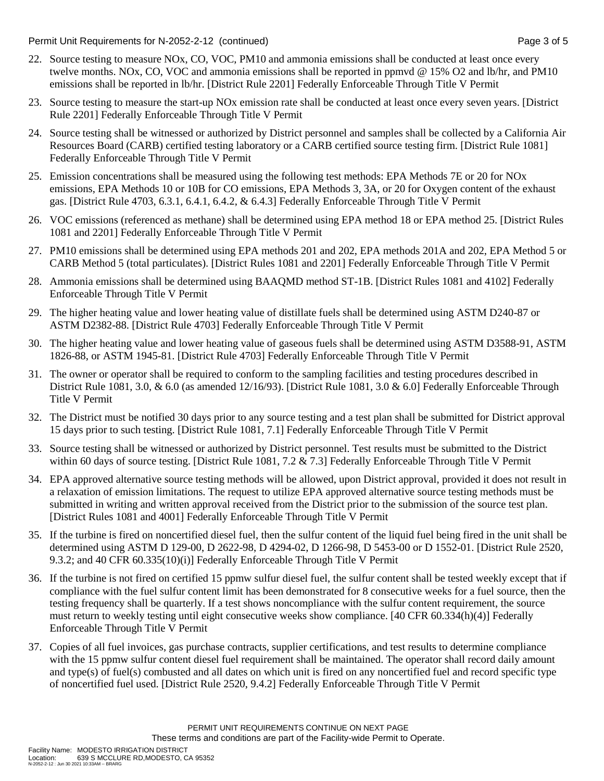Permit Unit Requirements for N-2052-2-12 (continued) **Page 3** of 5

- 22. Source testing to measure NOx, CO, VOC, PM10 and ammonia emissions shall be conducted at least once every twelve months. NOx, CO, VOC and ammonia emissions shall be reported in ppmvd @ 15% O2 and lb/hr, and PM10 emissions shall be reported in lb/hr. [District Rule 2201] Federally Enforceable Through Title V Permit
- 23. Source testing to measure the start-up NOx emission rate shall be conducted at least once every seven years. [District Rule 2201] Federally Enforceable Through Title V Permit
- 24. Source testing shall be witnessed or authorized by District personnel and samples shall be collected by a California Air Resources Board (CARB) certified testing laboratory or a CARB certified source testing firm. [District Rule 1081] Federally Enforceable Through Title V Permit
- 25. Emission concentrations shall be measured using the following test methods: EPA Methods 7E or 20 for NOx emissions, EPA Methods 10 or 10B for CO emissions, EPA Methods 3, 3A, or 20 for Oxygen content of the exhaust gas. [District Rule 4703, 6.3.1, 6.4.1, 6.4.2, & 6.4.3] Federally Enforceable Through Title V Permit
- 26. VOC emissions (referenced as methane) shall be determined using EPA method 18 or EPA method 25. [District Rules 1081 and 2201] Federally Enforceable Through Title V Permit
- 27. PM10 emissions shall be determined using EPA methods 201 and 202, EPA methods 201A and 202, EPA Method 5 or CARB Method 5 (total particulates). [District Rules 1081 and 2201] Federally Enforceable Through Title V Permit
- 28. Ammonia emissions shall be determined using BAAQMD method ST-1B. [District Rules 1081 and 4102] Federally Enforceable Through Title V Permit
- 29. The higher heating value and lower heating value of distillate fuels shall be determined using ASTM D240-87 or ASTM D2382-88. [District Rule 4703] Federally Enforceable Through Title V Permit
- 30. The higher heating value and lower heating value of gaseous fuels shall be determined using ASTM D3588-91, ASTM 1826-88, or ASTM 1945-81. [District Rule 4703] Federally Enforceable Through Title V Permit
- 31. The owner or operator shall be required to conform to the sampling facilities and testing procedures described in District Rule 1081, 3.0, & 6.0 (as amended 12/16/93). [District Rule 1081, 3.0 & 6.0] Federally Enforceable Through Title V Permit
- 32. The District must be notified 30 days prior to any source testing and a test plan shall be submitted for District approval 15 days prior to such testing. [District Rule 1081, 7.1] Federally Enforceable Through Title V Permit
- 33. Source testing shall be witnessed or authorized by District personnel. Test results must be submitted to the District within 60 days of source testing. [District Rule 1081, 7.2 & 7.3] Federally Enforceable Through Title V Permit
- 34. EPA approved alternative source testing methods will be allowed, upon District approval, provided it does not result in a relaxation of emission limitations. The request to utilize EPA approved alternative source testing methods must be submitted in writing and written approval received from the District prior to the submission of the source test plan. [District Rules 1081 and 4001] Federally Enforceable Through Title V Permit
- 35. If the turbine is fired on noncertified diesel fuel, then the sulfur content of the liquid fuel being fired in the unit shall be determined using ASTM D 129-00, D 2622-98, D 4294-02, D 1266-98, D 5453-00 or D 1552-01. [District Rule 2520, 9.3.2; and 40 CFR 60.335(10)(i)] Federally Enforceable Through Title V Permit
- 36. If the turbine is not fired on certified 15 ppmw sulfur diesel fuel, the sulfur content shall be tested weekly except that if compliance with the fuel sulfur content limit has been demonstrated for 8 consecutive weeks for a fuel source, then the testing frequency shall be quarterly. If a test shows noncompliance with the sulfur content requirement, the source must return to weekly testing until eight consecutive weeks show compliance. [40 CFR 60.334(h)(4)] Federally Enforceable Through Title V Permit
- 37. Copies of all fuel invoices, gas purchase contracts, supplier certifications, and test results to determine compliance with the 15 ppmw sulfur content diesel fuel requirement shall be maintained. The operator shall record daily amount and type(s) of fuel(s) combusted and all dates on which unit is fired on any noncertified fuel and record specific type of noncertified fuel used. [District Rule 2520, 9.4.2] Federally Enforceable Through Title V Permit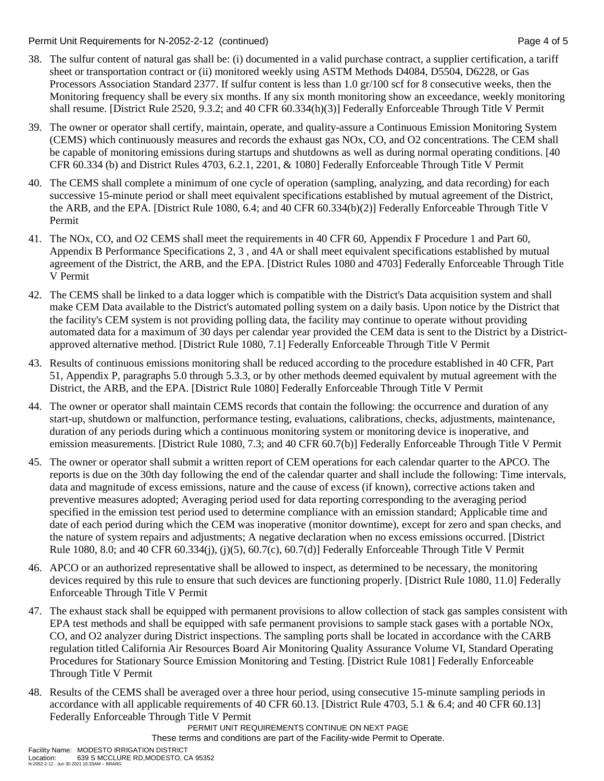Permit Unit Requirements for N-2052-2-12 (continued) example 2 and the state of 5 and 5 Page 4 of 5

- 38. The sulfur content of natural gas shall be: (i) documented in a valid purchase contract, a supplier certification, a tariff sheet or transportation contract or (ii) monitored weekly using ASTM Methods D4084, D5504, D6228, or Gas Processors Association Standard 2377. If sulfur content is less than 1.0 gr/100 scf for 8 consecutive weeks, then the Monitoring frequency shall be every six months. If any six month monitoring show an exceedance, weekly monitoring shall resume. [District Rule 2520, 9.3.2; and 40 CFR 60.334(h)(3)] Federally Enforceable Through Title V Permit
- 39. The owner or operator shall certify, maintain, operate, and quality-assure a Continuous Emission Monitoring System (CEMS) which continuously measures and records the exhaust gas NOx, CO, and O2 concentrations. The CEM shall be capable of monitoring emissions during startups and shutdowns as well as during normal operating conditions. [40 CFR 60.334 (b) and District Rules 4703, 6.2.1, 2201, & 1080] Federally Enforceable Through Title V Permit
- 40. The CEMS shall complete a minimum of one cycle of operation (sampling, analyzing, and data recording) for each successive 15-minute period or shall meet equivalent specifications established by mutual agreement of the District, the ARB, and the EPA. [District Rule 1080, 6.4; and 40 CFR 60.334(b)(2)] Federally Enforceable Through Title V Permit
- 41. The NOx, CO, and O2 CEMS shall meet the requirements in 40 CFR 60, Appendix F Procedure 1 and Part 60, Appendix B Performance Specifications 2, 3 , and 4A or shall meet equivalent specifications established by mutual agreement of the District, the ARB, and the EPA. [District Rules 1080 and 4703] Federally Enforceable Through Title V Permit
- 42. The CEMS shall be linked to a data logger which is compatible with the District's Data acquisition system and shall make CEM Data available to the District's automated polling system on a daily basis. Upon notice by the District that the facility's CEM system is not providing polling data, the facility may continue to operate without providing automated data for a maximum of 30 days per calendar year provided the CEM data is sent to the District by a Districtapproved alternative method. [District Rule 1080, 7.1] Federally Enforceable Through Title V Permit
- 43. Results of continuous emissions monitoring shall be reduced according to the procedure established in 40 CFR, Part 51, Appendix P, paragraphs 5.0 through 5.3.3, or by other methods deemed equivalent by mutual agreement with the District, the ARB, and the EPA. [District Rule 1080] Federally Enforceable Through Title V Permit
- 44. The owner or operator shall maintain CEMS records that contain the following: the occurrence and duration of any start-up, shutdown or malfunction, performance testing, evaluations, calibrations, checks, adjustments, maintenance, duration of any periods during which a continuous monitoring system or monitoring device is inoperative, and emission measurements. [District Rule 1080, 7.3; and 40 CFR 60.7(b)] Federally Enforceable Through Title V Permit
- 45. The owner or operator shall submit a written report of CEM operations for each calendar quarter to the APCO. The reports is due on the 30th day following the end of the calendar quarter and shall include the following: Time intervals, data and magnitude of excess emissions, nature and the cause of excess (if known), corrective actions taken and preventive measures adopted; Averaging period used for data reporting corresponding to the averaging period specified in the emission test period used to determine compliance with an emission standard; Applicable time and date of each period during which the CEM was inoperative (monitor downtime), except for zero and span checks, and the nature of system repairs and adjustments; A negative declaration when no excess emissions occurred. [District Rule 1080, 8.0; and 40 CFR 60.334(j), (j)(5), 60.7(c), 60.7(d)] Federally Enforceable Through Title V Permit
- 46. APCO or an authorized representative shall be allowed to inspect, as determined to be necessary, the monitoring devices required by this rule to ensure that such devices are functioning properly. [District Rule 1080, 11.0] Federally Enforceable Through Title V Permit
- 47. The exhaust stack shall be equipped with permanent provisions to allow collection of stack gas samples consistent with EPA test methods and shall be equipped with safe permanent provisions to sample stack gases with a portable NOx, CO, and O2 analyzer during District inspections. The sampling ports shall be located in accordance with the CARB regulation titled California Air Resources Board Air Monitoring Quality Assurance Volume VI, Standard Operating Procedures for Stationary Source Emission Monitoring and Testing. [District Rule 1081] Federally Enforceable Through Title V Permit
- 48. Results of the CEMS shall be averaged over a three hour period, using consecutive 15-minute sampling periods in accordance with all applicable requirements of 40 CFR 60.13. [District Rule 4703, 5.1 & 6.4; and 40 CFR 60.13] Federally Enforceable Through Title V Permit

PERMIT UNIT REQUIREMENTS CONTINUE ON NEXT PAGE

These terms and conditions are part of the Facility-wide Permit to Operate.